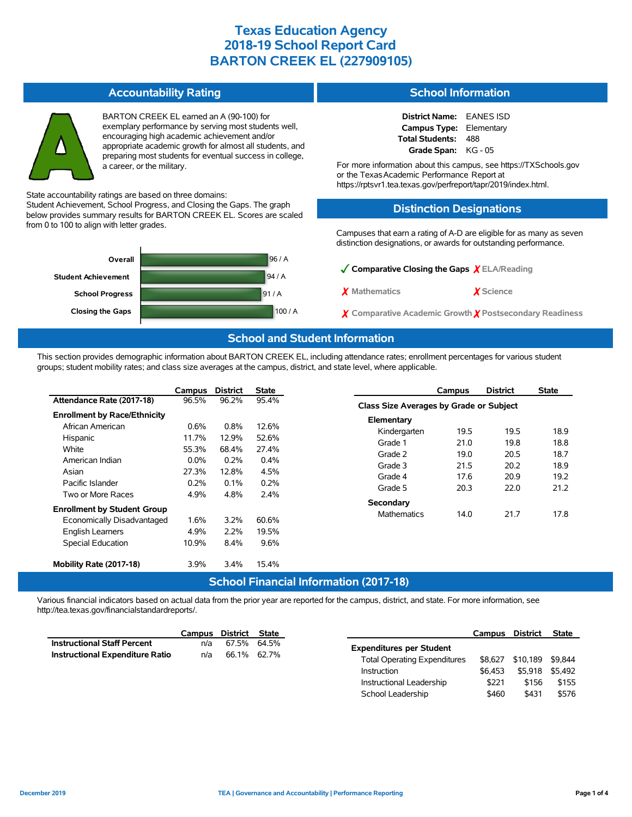#### **Accountability Rating** BARTON CREEK EL earned an A (90-100) for exemplary performance by serving most students well, encouraging high academic achievement and/or appropriate academic growth for almost all students, and preparing most students for eventual success in college, a career, or the military. State accountability ratings are based on three domains: Student Achievement, School Progress, and Closing the Gaps. The graph below provides summary results for BARTON CREEK EL. Scores are scaled from 0 to 100 to align with letter grades. **District Name:** EANES ISD **Campus Type:** Elementary **Total Students:** 488 **Grade Span:** KG - 05 For more information about this campus, see https://TXSchools.gov or the TexasAcademic Performance Report at https://rptsvr1.tea.texas.gov/perfreport/tapr/2019/index.html. **Distinction Designations**

96 / A 94 / A 91 / A

**Closing the Gaps 100 / A** 

**School Progress Student Achievement**

**Overall**

Campuses that earn a rating of A-D are eligible for as many as seven distinction designations, or awards for outstanding performance.

**School Information**

✓**Comparative Closing the Gaps** ✗ **ELA/Reading** ✗ **Mathematics** ✗ **Science**

✗ **Comparative Academic Growth** ✗ **Postsecondary Readiness**

School Leadership  $$460$  \$431 \$576

## **School and Student Information**

This section provides demographic information about BARTON CREEK EL, including attendance rates; enrollment percentages for various student groups; student mobility rates; and class size averages at the campus, district, and state level, where applicable.

|                                               | Campus  | <b>District</b> | <b>State</b> |                                         | Campus | <b>District</b> | <b>State</b> |  |  |  |
|-----------------------------------------------|---------|-----------------|--------------|-----------------------------------------|--------|-----------------|--------------|--|--|--|
| Attendance Rate (2017-18)                     | 96.5%   | 96.2%           | 95.4%        | Class Size Averages by Grade or Subject |        |                 |              |  |  |  |
| <b>Enrollment by Race/Ethnicity</b>           |         |                 |              | Elementary                              |        |                 |              |  |  |  |
| African American                              | 0.6%    | 0.8%            | 12.6%        | Kindergarten                            | 19.5   | 19.5            | 18.9         |  |  |  |
| Hispanic                                      | 11.7%   | 12.9%           | 52.6%        | Grade 1                                 | 21.0   | 19.8            | 18.8         |  |  |  |
| White                                         | 55.3%   | 68.4%           | 27.4%        |                                         |        |                 |              |  |  |  |
| American Indian                               | $0.0\%$ | 0.2%            | 0.4%         | Grade 2                                 | 19.0   | 20.5            | 18.7         |  |  |  |
|                                               |         |                 |              | Grade 3                                 | 21.5   | 20.2            | 18.9         |  |  |  |
| Asian                                         | 27.3%   | 12.8%           | 4.5%         | Grade 4                                 | 17.6   | 20.9            | 19.2         |  |  |  |
| Pacific Islander                              | 0.2%    | 0.1%            | 0.2%         | Grade 5                                 | 20.3   | 22.0            | 21.2         |  |  |  |
| Two or More Races                             | 4.9%    | 4.8%            | 2.4%         |                                         |        |                 |              |  |  |  |
|                                               |         |                 |              | Secondary                               |        |                 |              |  |  |  |
| <b>Enrollment by Student Group</b>            |         |                 |              | Mathematics                             | 14.0   | 21.7            | 17.8         |  |  |  |
| Economically Disadvantaged                    | 1.6%    | 3.2%            | 60.6%        |                                         |        |                 |              |  |  |  |
| English Learners                              | 4.9%    | 2.2%            | 19.5%        |                                         |        |                 |              |  |  |  |
| <b>Special Education</b>                      | 10.9%   | 8.4%            | 9.6%         |                                         |        |                 |              |  |  |  |
|                                               |         |                 |              |                                         |        |                 |              |  |  |  |
| Mobility Rate (2017-18)                       | 3.9%    | 3.4%            | 15.4%        |                                         |        |                 |              |  |  |  |
| <b>School Financial Information (2017-18)</b> |         |                 |              |                                         |        |                 |              |  |  |  |

Various financial indicators based on actual data from the prior year are reported for the campus, district, and state. For more information, see http://tea.texas.gov/financialstandardreports/.

|                                        | Campus | District State |                                     | Campus  | District         | <b>State</b> |
|----------------------------------------|--------|----------------|-------------------------------------|---------|------------------|--------------|
| <b>Instructional Staff Percent</b>     | n/a    | 67.5% 64.5%    | <b>Expenditures per Student</b>     |         |                  |              |
| <b>Instructional Expenditure Ratio</b> | n/a    | 66.1% 62.7%    |                                     |         |                  |              |
|                                        |        |                | <b>Total Operating Expenditures</b> | \$8.627 | \$10,189 \$9.844 |              |
|                                        |        |                | Instruction                         | \$6.453 | \$5.918 \$5.492  |              |
|                                        |        |                | Instructional Leadership            | \$221   | \$156            | \$155        |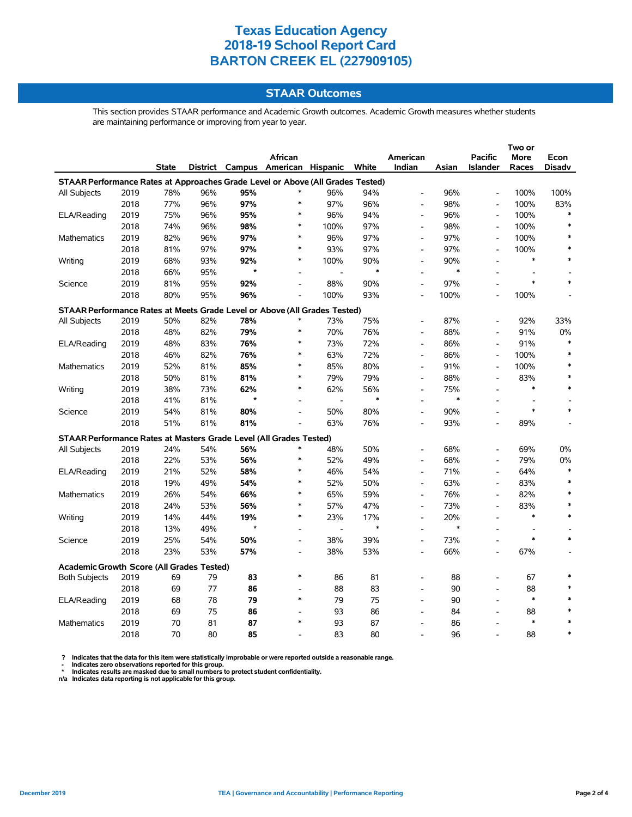## **STAAR Outcomes**

This section provides STAAR performance and Academic Growth outcomes. Academic Growth measures whether students are maintaining performance or improving from year to year.

|                                                                                |      |       |     |           | African                           |                |        | American                 |        | <b>Pacific</b>           | More                     | Econ   |
|--------------------------------------------------------------------------------|------|-------|-----|-----------|-----------------------------------|----------------|--------|--------------------------|--------|--------------------------|--------------------------|--------|
|                                                                                |      | State |     |           | District Campus American Hispanic |                | White  | Indian                   | Asian  | <b>Islander</b>          | Races                    | Disadv |
| STAAR Performance Rates at Approaches Grade Level or Above (All Grades Tested) |      |       |     |           |                                   |                |        |                          |        |                          |                          |        |
| All Subjects                                                                   | 2019 | 78%   | 96% | 95%       |                                   | 96%            | 94%    |                          | 96%    |                          | 100%                     | 100%   |
|                                                                                | 2018 | 77%   | 96% | 97%       | $\ast$                            | 97%            | 96%    | $\overline{\phantom{a}}$ | 98%    |                          | 100%                     | 83%    |
| ELA/Reading                                                                    | 2019 | 75%   | 96% | 95%       | $\ast$                            | 96%            | 94%    | $\overline{\phantom{a}}$ | 96%    |                          | 100%                     |        |
|                                                                                | 2018 | 74%   | 96% | 98%       | $\ast$                            | 100%           | 97%    | $\overline{\phantom{a}}$ | 98%    | $\overline{a}$           | 100%                     |        |
| Mathematics                                                                    | 2019 | 82%   | 96% | 97%       | $\ast$                            | 96%            | 97%    | $\overline{a}$           | 97%    | $\overline{a}$           | 100%                     |        |
|                                                                                | 2018 | 81%   | 97% | 97%       | $\ast$                            | 93%            | 97%    | $\overline{a}$           | 97%    | $\overline{a}$           | 100%                     |        |
| Writing                                                                        | 2019 | 68%   | 93% | 92%       | $\ast$                            | 100%           | 90%    |                          | 90%    |                          | $\ast$                   |        |
|                                                                                | 2018 | 66%   | 95% | $\lambda$ |                                   |                | $\ast$ |                          | $\ast$ |                          |                          |        |
| Science                                                                        | 2019 | 81%   | 95% | 92%       |                                   | 88%            | 90%    |                          | 97%    |                          | $\ast$                   |        |
|                                                                                | 2018 | 80%   | 95% | 96%       | Ĭ.                                | 100%           | 93%    | $\overline{a}$           | 100%   |                          | 100%                     |        |
| STAAR Performance Rates at Meets Grade Level or Above (All Grades Tested)      |      |       |     |           |                                   |                |        |                          |        |                          |                          |        |
| All Subjects                                                                   | 2019 | 50%   | 82% | 78%       |                                   | 73%            | 75%    |                          | 87%    | $\overline{a}$           | 92%                      | 33%    |
|                                                                                | 2018 | 48%   | 82% | 79%       | $\ast$                            | 70%            | 76%    | $\overline{\phantom{a}}$ | 88%    | $\overline{\phantom{a}}$ | 91%                      | 0%     |
| ELA/Reading                                                                    | 2019 | 48%   | 83% | 76%       | $\ast$                            | 73%            | 72%    |                          | 86%    | L,                       | 91%                      |        |
|                                                                                | 2018 | 46%   | 82% | 76%       | $\ast$                            | 63%            | 72%    | $\overline{a}$           | 86%    | Ĭ.                       | 100%                     | $\ast$ |
| Mathematics                                                                    | 2019 | 52%   | 81% | 85%       | $\ast$                            | 85%            | 80%    | $\overline{a}$           | 91%    | $\overline{a}$           | 100%                     |        |
|                                                                                | 2018 | 50%   | 81% | 81%       | $\ast$                            | 79%            | 79%    | $\overline{\phantom{a}}$ | 88%    | $\overline{\phantom{a}}$ | 83%                      |        |
| Writing                                                                        | 2019 | 38%   | 73% | 62%       | $\ast$                            | 62%            | 56%    | $\overline{\phantom{a}}$ | 75%    | ÷                        | $\ast$                   |        |
|                                                                                | 2018 | 41%   | 81% | $\star$   |                                   | $\overline{a}$ | $\ast$ |                          | $\ast$ |                          |                          |        |
| Science                                                                        | 2019 | 54%   | 81% | 80%       | L,                                | 50%            | 80%    | $\overline{a}$           | 90%    | ÷,                       | $\ast$                   |        |
|                                                                                | 2018 | 51%   | 81% | 81%       |                                   | 63%            | 76%    |                          | 93%    |                          | 89%                      |        |
| STAAR Performance Rates at Masters Grade Level (All Grades Tested)             |      |       |     |           |                                   |                |        |                          |        |                          |                          |        |
| All Subjects                                                                   | 2019 | 24%   | 54% | 56%       | $\ast$                            | 48%            | 50%    | $\overline{\phantom{a}}$ | 68%    | ۰                        | 69%                      | 0%     |
|                                                                                | 2018 | 22%   | 53% | 56%       | $\ast$                            | 52%            | 49%    | $\overline{a}$           | 68%    | $\overline{a}$           | 79%                      | 0%     |
| ELA/Reading                                                                    | 2019 | 21%   | 52% | 58%       | $\ast$                            | 46%            | 54%    | $\overline{\phantom{a}}$ | 71%    | $\overline{\phantom{a}}$ | 64%                      |        |
|                                                                                | 2018 | 19%   | 49% | 54%       | $\ast$                            | 52%            | 50%    | $\overline{a}$           | 63%    | ÷,                       | 83%                      |        |
| Mathematics                                                                    | 2019 | 26%   | 54% | 66%       | $\ast$                            | 65%            | 59%    | $\overline{\phantom{a}}$ | 76%    | L,                       | 82%                      |        |
|                                                                                | 2018 | 24%   | 53% | 56%       | $\ast$                            | 57%            | 47%    |                          | 73%    | L,                       | 83%                      |        |
| Writing                                                                        | 2019 | 14%   | 44% | 19%       | $\ast$                            | 23%            | 17%    | $\overline{\phantom{a}}$ | 20%    | Ĭ.                       | $\ast$                   |        |
|                                                                                | 2018 | 13%   | 49% | $\star$   | $\overline{a}$                    | $\overline{a}$ | $\ast$ |                          | $\ast$ | ÷.                       | $\overline{\phantom{a}}$ |        |
| Science                                                                        | 2019 | 25%   | 54% | 50%       | $\overline{\phantom{a}}$          | 38%            | 39%    | $\overline{\phantom{a}}$ | 73%    | ÷,                       | $\ast$                   |        |
|                                                                                | 2018 | 23%   | 53% | 57%       | $\overline{\phantom{a}}$          | 38%            | 53%    |                          | 66%    | ÷,                       | 67%                      |        |
| Academic Growth Score (All Grades Tested)                                      |      |       |     |           |                                   |                |        |                          |        |                          |                          |        |
| <b>Both Subjects</b>                                                           | 2019 | 69    | 79  | 83        | $\ast$                            | 86             | 81     |                          | 88     |                          | 67                       |        |
|                                                                                | 2018 | 69    | 77  | 86        |                                   | 88             | 83     |                          | 90     |                          | 88                       |        |
| ELA/Reading                                                                    | 2019 | 68    | 78  | 79        | $\ast$                            | 79             | 75     | $\overline{a}$           | 90     | L,                       | $\ast$                   |        |
|                                                                                | 2018 | 69    | 75  | 86        | $\overline{\phantom{a}}$          | 93             | 86     |                          | 84     | ÷,                       | 88                       |        |
| Mathematics                                                                    | 2019 | 70    | 81  | 87        | $\ast$                            | 93             | 87     |                          | 86     |                          | *                        |        |
|                                                                                | 2018 | 70    | 80  | 85        |                                   | 83             | 80     |                          | 96     |                          | 88                       | *      |

? Indicates that the data for this item were statistically improbable or were reported outside a reasonable range.<br>- Indicates zero observations reported for this group.<br>\* Indicates results are masked due to small numbers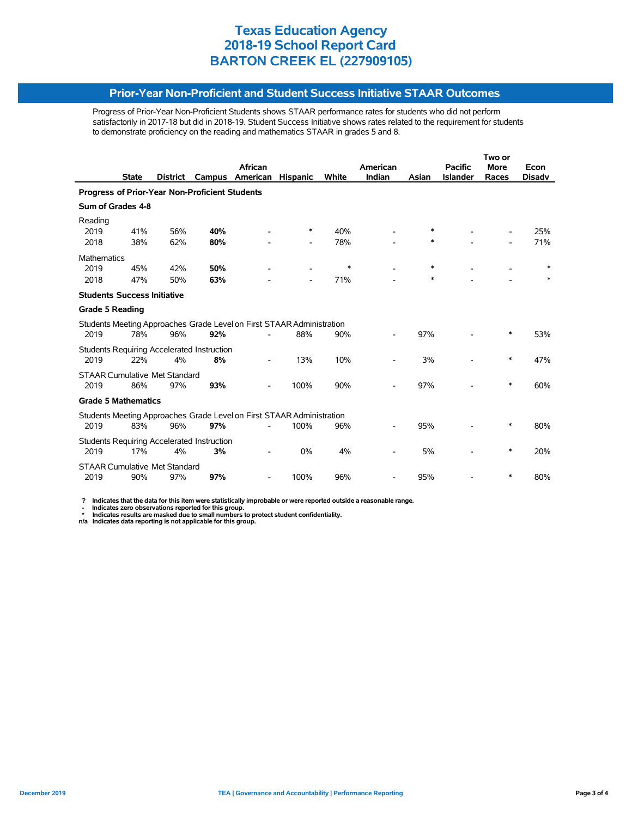#### **Prior-Year Non-Proficient and Student Success Initiative STAAR Outcomes**

Progress of Prior-Year Non-Proficient Students shows STAAR performance rates for students who did not perform satisfactorily in 2017-18 but did in 2018-19. Student Success Initiative shows rates related to the requirement for students to demonstrate proficiency on the reading and mathematics STAAR in grades 5 and 8.

|                                                                       |              |                 |                                            |                                                                       |                          |        |          |        |                 | Two or      |               |  |
|-----------------------------------------------------------------------|--------------|-----------------|--------------------------------------------|-----------------------------------------------------------------------|--------------------------|--------|----------|--------|-----------------|-------------|---------------|--|
|                                                                       |              |                 |                                            | <b>African</b>                                                        |                          |        | American |        | <b>Pacific</b>  | <b>More</b> | Econ          |  |
|                                                                       | <b>State</b> | <b>District</b> | Campus                                     | American                                                              | <b>Hispanic</b>          | White  | Indian   | Asian  | <b>Islander</b> | Races       | <b>Disadv</b> |  |
| Progress of Prior-Year Non-Proficient Students                        |              |                 |                                            |                                                                       |                          |        |          |        |                 |             |               |  |
| Sum of Grades 4-8                                                     |              |                 |                                            |                                                                       |                          |        |          |        |                 |             |               |  |
| Reading<br>2019                                                       | 41%          | 56%             | 40%                                        |                                                                       | *                        | 40%    |          | $\ast$ |                 |             | 25%           |  |
| 2018                                                                  | 38%          | 62%             | 80%                                        |                                                                       |                          | 78%    |          | $\ast$ |                 |             | 71%           |  |
| <b>Mathematics</b>                                                    |              |                 |                                            |                                                                       |                          |        |          |        |                 |             |               |  |
| 2019                                                                  | 45%          | 42%             | 50%                                        |                                                                       |                          | $\ast$ |          | $\ast$ |                 |             | $\ast$        |  |
| 2018                                                                  | 47%          | 50%             | 63%                                        |                                                                       | $\overline{\phantom{a}}$ | 71%    |          | $\ast$ |                 |             |               |  |
| <b>Students Success Initiative</b>                                    |              |                 |                                            |                                                                       |                          |        |          |        |                 |             |               |  |
| <b>Grade 5 Reading</b>                                                |              |                 |                                            |                                                                       |                          |        |          |        |                 |             |               |  |
|                                                                       |              |                 |                                            | Students Meeting Approaches Grade Level on First STAAR Administration |                          |        |          |        |                 |             |               |  |
| 2019                                                                  | 78%          | 96%             | 92%                                        |                                                                       | 88%                      | 90%    |          | 97%    |                 | *           | 53%           |  |
|                                                                       |              |                 | Students Requiring Accelerated Instruction |                                                                       |                          |        |          |        |                 |             |               |  |
| 2019                                                                  | 22%          | 4%              | 8%                                         |                                                                       | 13%                      | 10%    |          | 3%     |                 | $\ast$      | 47%           |  |
| <b>STAAR Cumulative Met Standard</b>                                  |              |                 |                                            |                                                                       |                          |        |          |        |                 |             |               |  |
| 2019                                                                  | 86%          | 97%             | 93%                                        |                                                                       | 100%                     | 90%    |          | 97%    |                 | $\ast$      | 60%           |  |
| <b>Grade 5 Mathematics</b>                                            |              |                 |                                            |                                                                       |                          |        |          |        |                 |             |               |  |
| Students Meeting Approaches Grade Level on First STAAR Administration |              |                 |                                            |                                                                       |                          |        |          |        |                 |             |               |  |
| 2019                                                                  | 83%          | 96%             | 97%                                        |                                                                       | 100%                     | 96%    |          | 95%    |                 | ∗           | 80%           |  |
|                                                                       |              |                 | Students Requiring Accelerated Instruction |                                                                       |                          |        |          |        |                 |             |               |  |
| 2019                                                                  | 17%          | 4%              | 3%                                         |                                                                       | 0%                       | 4%     |          | 5%     |                 | $\ast$      | 20%           |  |
| <b>STAAR Cumulative Met Standard</b>                                  |              |                 |                                            |                                                                       |                          |        |          |        |                 |             |               |  |
| 2019                                                                  | 90%          | 97%             | 97%                                        |                                                                       | 100%                     | 96%    |          | 95%    |                 | *           | 80%           |  |

 **? Indicates that the data for this item were statistically improbable or were reported outside a reasonable range.**

- Indicates zero observations reported for this group.<br>\* Indicates results are masked due to small numbers to protect student confidentiality.<br>n/a Indicates data reporting is not applicable for this group.

l,